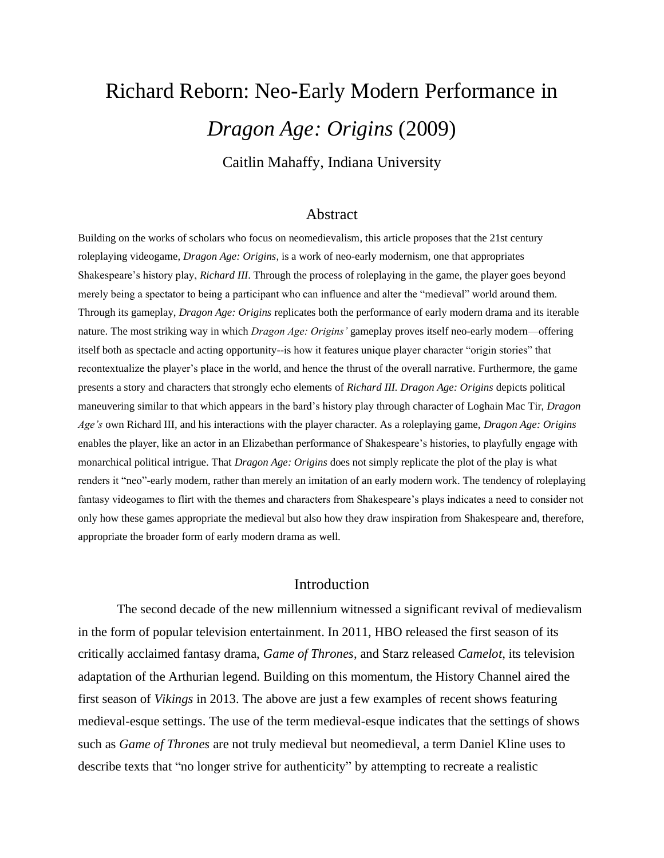# Richard Reborn: Neo-Early Modern Performance in *Dragon Age: Origins* (2009) Caitlin Mahaffy, Indiana University

#### Abstract

Building on the works of scholars who focus on neomedievalism, this article proposes that the 21st century roleplaying videogame, *Dragon Age: Origins,* is a work of neo-early modernism, one that appropriates Shakespeare's history play, *Richard III*. Through the process of roleplaying in the game, the player goes beyond merely being a spectator to being a participant who can influence and alter the "medieval" world around them. Through its gameplay, *Dragon Age: Origins* replicates both the performance of early modern drama and its iterable nature. The most striking way in which *Dragon Age: Origins'* gameplay proves itself neo-early modern—offering itself both as spectacle and acting opportunity--is how it features unique player character "origin stories" that recontextualize the player's place in the world, and hence the thrust of the overall narrative. Furthermore, the game presents a story and characters that strongly echo elements of *Richard III. Dragon Age: Origins* depicts political maneuvering similar to that which appears in the bard's history play through character of Loghain Mac Tir, *Dragon Age's* own Richard III*,* and his interactions with the player character. As a roleplaying game, *Dragon Age: Origins*  enables the player, like an actor in an Elizabethan performance of Shakespeare's histories, to playfully engage with monarchical political intrigue. That *Dragon Age: Origins* does not simply replicate the plot of the play is what renders it "neo"-early modern, rather than merely an imitation of an early modern work. The tendency of roleplaying fantasy videogames to flirt with the themes and characters from Shakespeare's plays indicates a need to consider not only how these games appropriate the medieval but also how they draw inspiration from Shakespeare and, therefore, appropriate the broader form of early modern drama as well.

### Introduction

The second decade of the new millennium witnessed a significant revival of medievalism in the form of popular television entertainment. In 2011, HBO released the first season of its critically acclaimed fantasy drama, *Game of Thrones*, and Starz released *Camelot*, its television adaptation of the Arthurian legend*.* Building on this momentum, the History Channel aired the first season of *Vikings* in 2013. The above are just a few examples of recent shows featuring medieval-esque settings. The use of the term medieval-esque indicates that the settings of shows such as *Game of Thrones* are not truly medieval but neomedieval, a term Daniel Kline uses to describe texts that "no longer strive for authenticity" by attempting to recreate a realistic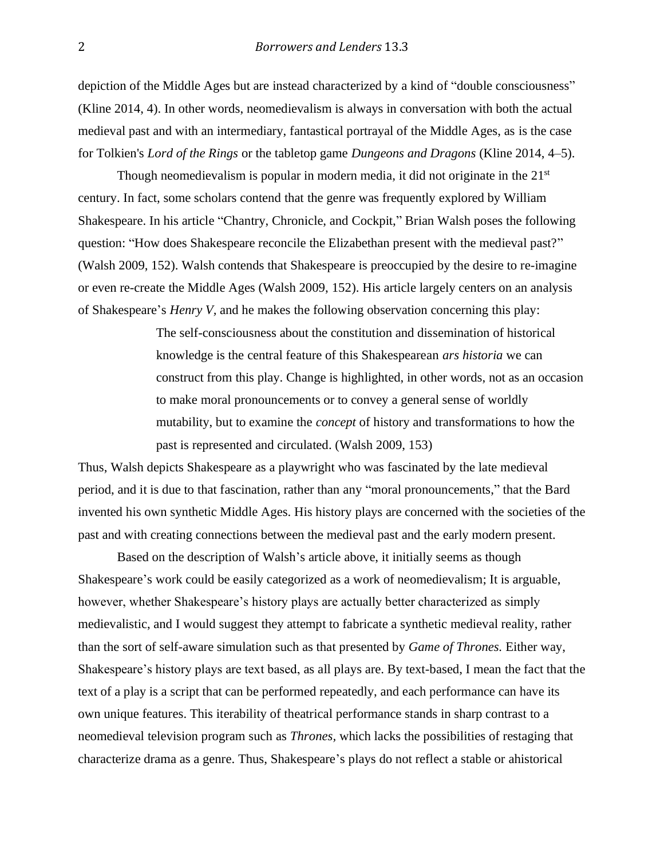depiction of the Middle Ages but are instead characterized by a kind of "double consciousness" (Kline 2014, 4). In other words, neomedievalism is always in conversation with both the actual medieval past and with an intermediary, fantastical portrayal of the Middle Ages, as is the case for Tolkien's *Lord of the Rings* or the tabletop game *Dungeons and Dragons* (Kline 2014, 4–5).

Though neomedievalism is popular in modern media, it did not originate in the  $21<sup>st</sup>$ century. In fact, some scholars contend that the genre was frequently explored by William Shakespeare. In his article "Chantry, Chronicle, and Cockpit," Brian Walsh poses the following question: "How does Shakespeare reconcile the Elizabethan present with the medieval past?" (Walsh 2009, 152). Walsh contends that Shakespeare is preoccupied by the desire to re-imagine or even re-create the Middle Ages (Walsh 2009, 152). His article largely centers on an analysis of Shakespeare's *Henry V,* and he makes the following observation concerning this play:

> The self-consciousness about the constitution and dissemination of historical knowledge is the central feature of this Shakespearean *ars historia* we can construct from this play. Change is highlighted, in other words, not as an occasion to make moral pronouncements or to convey a general sense of worldly mutability, but to examine the *concept* of history and transformations to how the past is represented and circulated. (Walsh 2009, 153)

Thus, Walsh depicts Shakespeare as a playwright who was fascinated by the late medieval period, and it is due to that fascination, rather than any "moral pronouncements," that the Bard invented his own synthetic Middle Ages. His history plays are concerned with the societies of the past and with creating connections between the medieval past and the early modern present.

Based on the description of Walsh's article above, it initially seems as though Shakespeare's work could be easily categorized as a work of neomedievalism; It is arguable, however, whether Shakespeare's history plays are actually better characterized as simply medievalistic, and I would suggest they attempt to fabricate a synthetic medieval reality, rather than the sort of self-aware simulation such as that presented by *Game of Thrones.* Either way, Shakespeare's history plays are text based, as all plays are. By text-based, I mean the fact that the text of a play is a script that can be performed repeatedly, and each performance can have its own unique features. This iterability of theatrical performance stands in sharp contrast to a neomedieval television program such as *Thrones,* which lacks the possibilities of restaging that characterize drama as a genre. Thus, Shakespeare's plays do not reflect a stable or ahistorical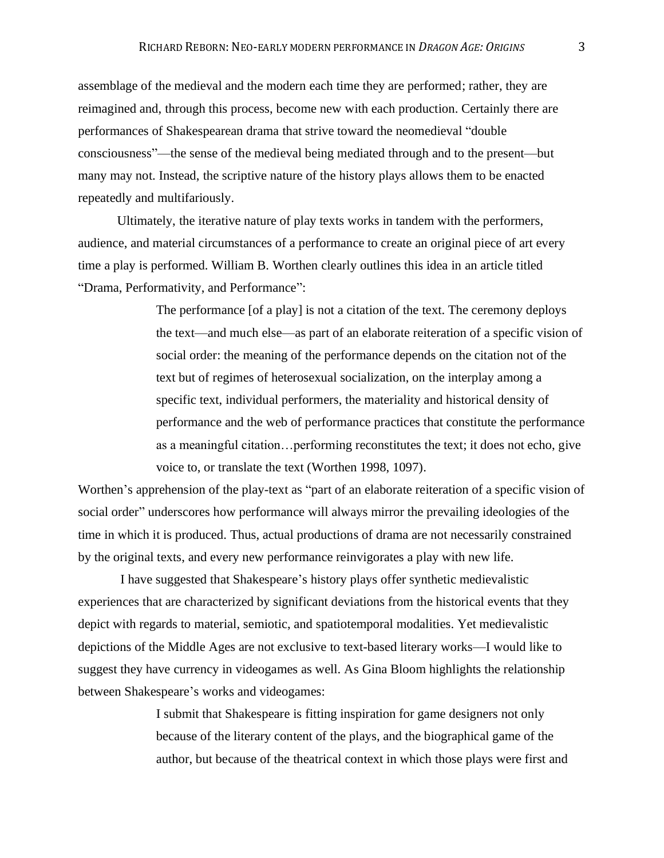assemblage of the medieval and the modern each time they are performed; rather, they are reimagined and, through this process, become new with each production. Certainly there are performances of Shakespearean drama that strive toward the neomedieval "double consciousness"—the sense of the medieval being mediated through and to the present—but many may not. Instead, the scriptive nature of the history plays allows them to be enacted repeatedly and multifariously.

Ultimately, the iterative nature of play texts works in tandem with the performers, audience, and material circumstances of a performance to create an original piece of art every time a play is performed. William B. Worthen clearly outlines this idea in an article titled "Drama, Performativity, and Performance":

> The performance [of a play] is not a citation of the text. The ceremony deploys the text—and much else—as part of an elaborate reiteration of a specific vision of social order: the meaning of the performance depends on the citation not of the text but of regimes of heterosexual socialization, on the interplay among a specific text, individual performers, the materiality and historical density of performance and the web of performance practices that constitute the performance as a meaningful citation…performing reconstitutes the text; it does not echo, give voice to, or translate the text (Worthen 1998, 1097).

Worthen's apprehension of the play-text as "part of an elaborate reiteration of a specific vision of social order" underscores how performance will always mirror the prevailing ideologies of the time in which it is produced. Thus, actual productions of drama are not necessarily constrained by the original texts, and every new performance reinvigorates a play with new life.

I have suggested that Shakespeare's history plays offer synthetic medievalistic experiences that are characterized by significant deviations from the historical events that they depict with regards to material, semiotic, and spatiotemporal modalities. Yet medievalistic depictions of the Middle Ages are not exclusive to text-based literary works—I would like to suggest they have currency in videogames as well. As Gina Bloom highlights the relationship between Shakespeare's works and videogames:

> I submit that Shakespeare is fitting inspiration for game designers not only because of the literary content of the plays, and the biographical game of the author, but because of the theatrical context in which those plays were first and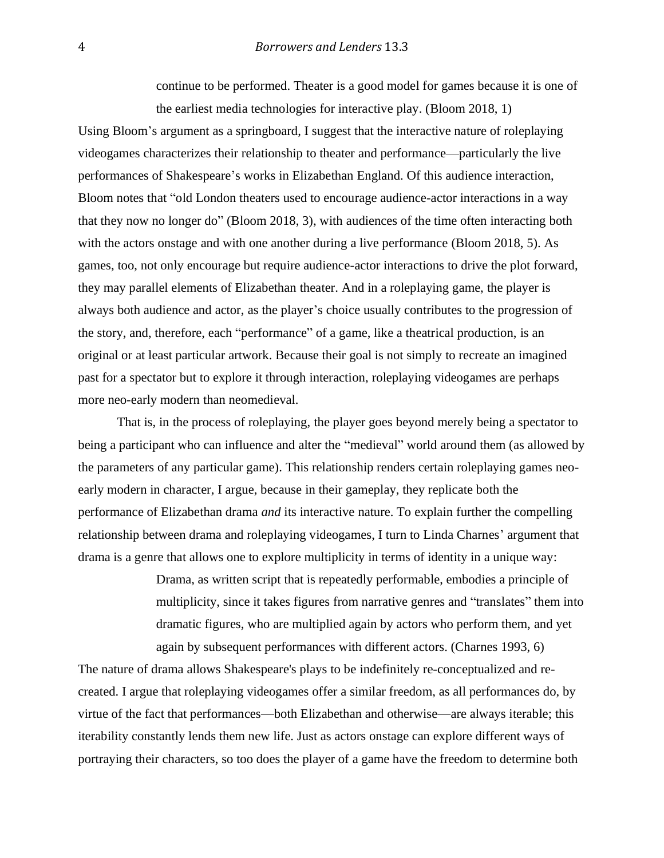continue to be performed. Theater is a good model for games because it is one of the earliest media technologies for interactive play. (Bloom 2018, 1)

Using Bloom's argument as a springboard, I suggest that the interactive nature of roleplaying videogames characterizes their relationship to theater and performance—particularly the live performances of Shakespeare's works in Elizabethan England. Of this audience interaction, Bloom notes that "old London theaters used to encourage audience-actor interactions in a way that they now no longer do" (Bloom 2018, 3), with audiences of the time often interacting both with the actors onstage and with one another during a live performance (Bloom 2018, 5). As games, too, not only encourage but require audience-actor interactions to drive the plot forward, they may parallel elements of Elizabethan theater. And in a roleplaying game, the player is always both audience and actor, as the player's choice usually contributes to the progression of the story, and, therefore, each "performance" of a game, like a theatrical production, is an original or at least particular artwork. Because their goal is not simply to recreate an imagined past for a spectator but to explore it through interaction, roleplaying videogames are perhaps more neo-early modern than neomedieval.

That is, in the process of roleplaying, the player goes beyond merely being a spectator to being a participant who can influence and alter the "medieval" world around them (as allowed by the parameters of any particular game). This relationship renders certain roleplaying games neoearly modern in character, I argue, because in their gameplay, they replicate both the performance of Elizabethan drama *and* its interactive nature. To explain further the compelling relationship between drama and roleplaying videogames, I turn to Linda Charnes' argument that drama is a genre that allows one to explore multiplicity in terms of identity in a unique way:

> Drama, as written script that is repeatedly performable, embodies a principle of multiplicity, since it takes figures from narrative genres and "translates" them into dramatic figures, who are multiplied again by actors who perform them, and yet again by subsequent performances with different actors. (Charnes 1993, 6)

The nature of drama allows Shakespeare's plays to be indefinitely re-conceptualized and recreated. I argue that roleplaying videogames offer a similar freedom, as all performances do, by virtue of the fact that performances—both Elizabethan and otherwise—are always iterable; this iterability constantly lends them new life. Just as actors onstage can explore different ways of portraying their characters, so too does the player of a game have the freedom to determine both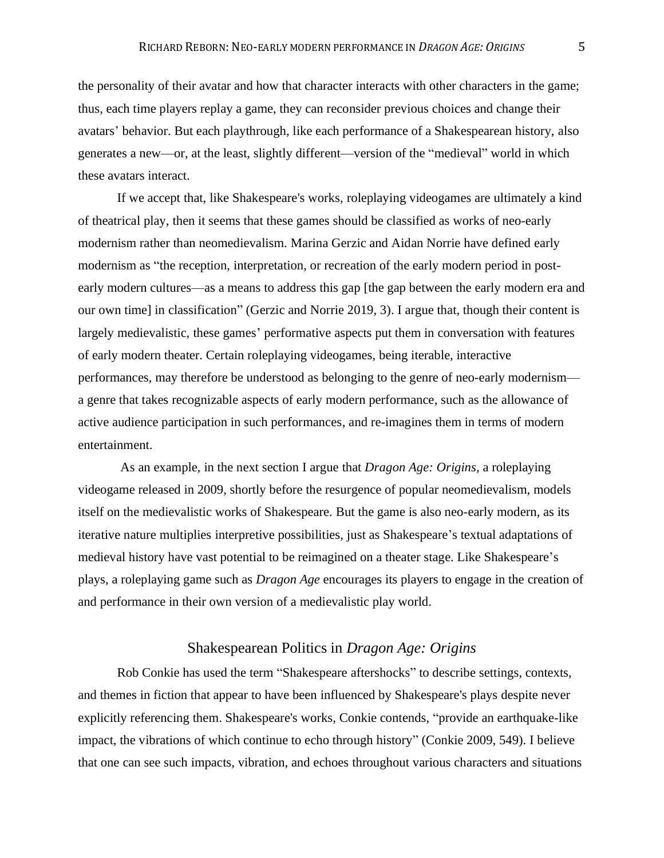the personality of their avatar and how that character interacts with other characters in the game; thus, each time players replay a game, they can reconsider previous choices and change their avatars' behavior. But each playthrough, like each performance of a Shakespearean history, also generates a new—or, at the least, slightly different—version of the "medieval" world in which these avatars interact.

If we accept that, like Shakespeare's works, roleplaying videogames are ultimately a kind of theatrical play, then it seems that these games should be classified as works of neo-early modernism rather than neomedievalism. Marina Gerzic and Aidan Norrie have defined early modernism as "the reception, interpretation, or recreation of the early modern period in postearly modern cultures—as a means to address this gap [the gap between the early modern era and our own time] in classification" (Gerzic and Norrie 2019, 3). I argue that, though their content is largely medievalistic, these games' performative aspects put them in conversation with features of early modern theater. Certain roleplaying videogames, being iterable, interactive performances, may therefore be understood as belonging to the genre of neo-early modernism a genre that takes recognizable aspects of early modern performance, such as the allowance of active audience participation in such performances, and re-imagines them in terms of modern entertainment.

As an example, in the next section I argue that *Dragon Age: Origins,* a roleplaying videogame released in 2009, shortly before the resurgence of popular neomedievalism, models itself on the medievalistic works of Shakespeare. But the game is also neo-early modern, as its iterative nature multiplies interpretive possibilities, just as Shakespeare's textual adaptations of medieval history have vast potential to be reimagined on a theater stage. Like Shakespeare's plays, a roleplaying game such as *Dragon Age* encourages its players to engage in the creation of and performance in their own version of a medievalistic play world.

## Shakespearean Politics in *Dragon Age: Origins*

Rob Conkie has used the term "Shakespeare aftershocks" to describe settings, contexts, and themes in fiction that appear to have been influenced by Shakespeare's plays despite never explicitly referencing them. Shakespeare's works, Conkie contends, "provide an earthquake-like impact, the vibrations of which continue to echo through history" (Conkie 2009, 549). I believe that one can see such impacts, vibration, and echoes throughout various characters and situations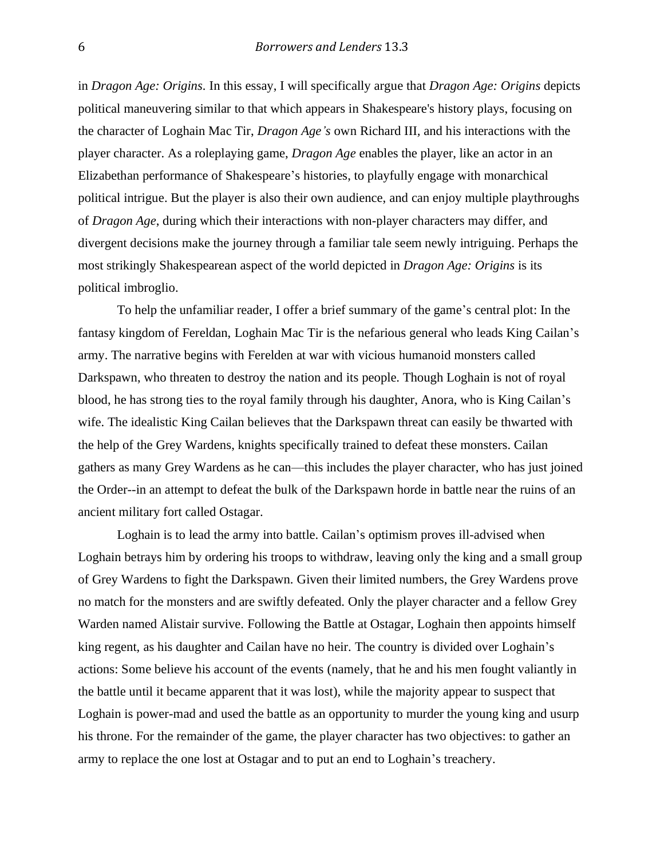in *Dragon Age: Origins.* In this essay, I will specifically argue that *Dragon Age: Origins* depicts political maneuvering similar to that which appears in Shakespeare's history plays, focusing on the character of Loghain Mac Tir, *Dragon Age's* own Richard III*,* and his interactions with the player character. As a roleplaying game, *Dragon Age* enables the player, like an actor in an Elizabethan performance of Shakespeare's histories, to playfully engage with monarchical political intrigue. But the player is also their own audience, and can enjoy multiple playthroughs of *Dragon Age*, during which their interactions with non-player characters may differ, and divergent decisions make the journey through a familiar tale seem newly intriguing. Perhaps the most strikingly Shakespearean aspect of the world depicted in *Dragon Age: Origins* is its political imbroglio.

To help the unfamiliar reader, I offer a brief summary of the game's central plot: In the fantasy kingdom of Fereldan, Loghain Mac Tir is the nefarious general who leads King Cailan's army. The narrative begins with Ferelden at war with vicious humanoid monsters called Darkspawn, who threaten to destroy the nation and its people. Though Loghain is not of royal blood, he has strong ties to the royal family through his daughter, Anora, who is King Cailan's wife. The idealistic King Cailan believes that the Darkspawn threat can easily be thwarted with the help of the Grey Wardens, knights specifically trained to defeat these monsters. Cailan gathers as many Grey Wardens as he can—this includes the player character, who has just joined the Order--in an attempt to defeat the bulk of the Darkspawn horde in battle near the ruins of an ancient military fort called Ostagar.

Loghain is to lead the army into battle. Cailan's optimism proves ill-advised when Loghain betrays him by ordering his troops to withdraw, leaving only the king and a small group of Grey Wardens to fight the Darkspawn. Given their limited numbers, the Grey Wardens prove no match for the monsters and are swiftly defeated. Only the player character and a fellow Grey Warden named Alistair survive. Following the Battle at Ostagar, Loghain then appoints himself king regent, as his daughter and Cailan have no heir. The country is divided over Loghain's actions: Some believe his account of the events (namely, that he and his men fought valiantly in the battle until it became apparent that it was lost), while the majority appear to suspect that Loghain is power-mad and used the battle as an opportunity to murder the young king and usurp his throne. For the remainder of the game, the player character has two objectives: to gather an army to replace the one lost at Ostagar and to put an end to Loghain's treachery.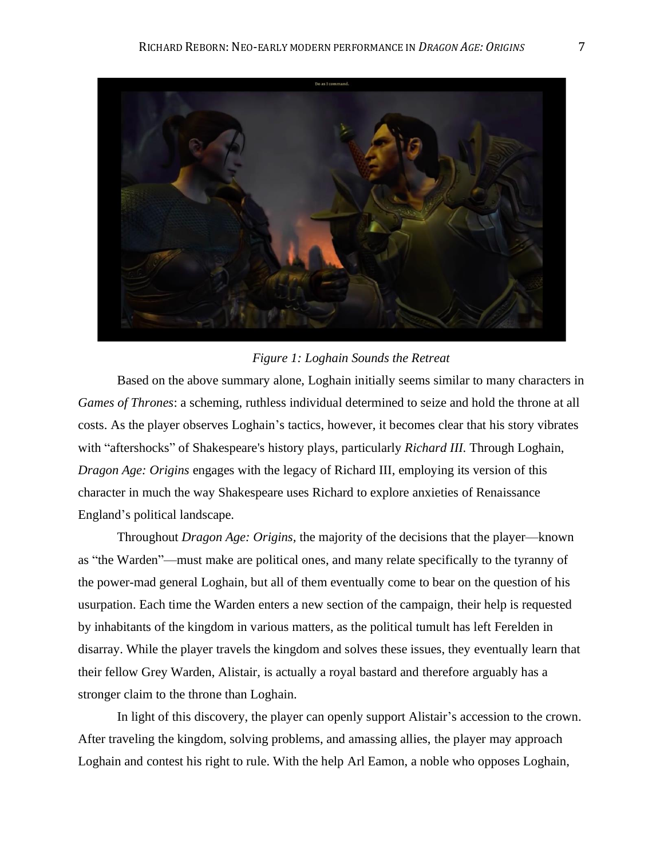

#### *Figure 1: Loghain Sounds the Retreat*

Based on the above summary alone, Loghain initially seems similar to many characters in *Games of Thrones*: a scheming, ruthless individual determined to seize and hold the throne at all costs. As the player observes Loghain's tactics, however, it becomes clear that his story vibrates with "aftershocks" of Shakespeare's history plays, particularly *Richard III.* Through Loghain, *Dragon Age: Origins* engages with the legacy of Richard III, employing its version of this character in much the way Shakespeare uses Richard to explore anxieties of Renaissance England's political landscape.

Throughout *Dragon Age: Origins,* the majority of the decisions that the player—known as "the Warden"—must make are political ones, and many relate specifically to the tyranny of the power-mad general Loghain, but all of them eventually come to bear on the question of his usurpation. Each time the Warden enters a new section of the campaign, their help is requested by inhabitants of the kingdom in various matters, as the political tumult has left Ferelden in disarray. While the player travels the kingdom and solves these issues, they eventually learn that their fellow Grey Warden, Alistair, is actually a royal bastard and therefore arguably has a stronger claim to the throne than Loghain.

In light of this discovery, the player can openly support Alistair's accession to the crown. After traveling the kingdom, solving problems, and amassing allies, the player may approach Loghain and contest his right to rule. With the help Arl Eamon, a noble who opposes Loghain,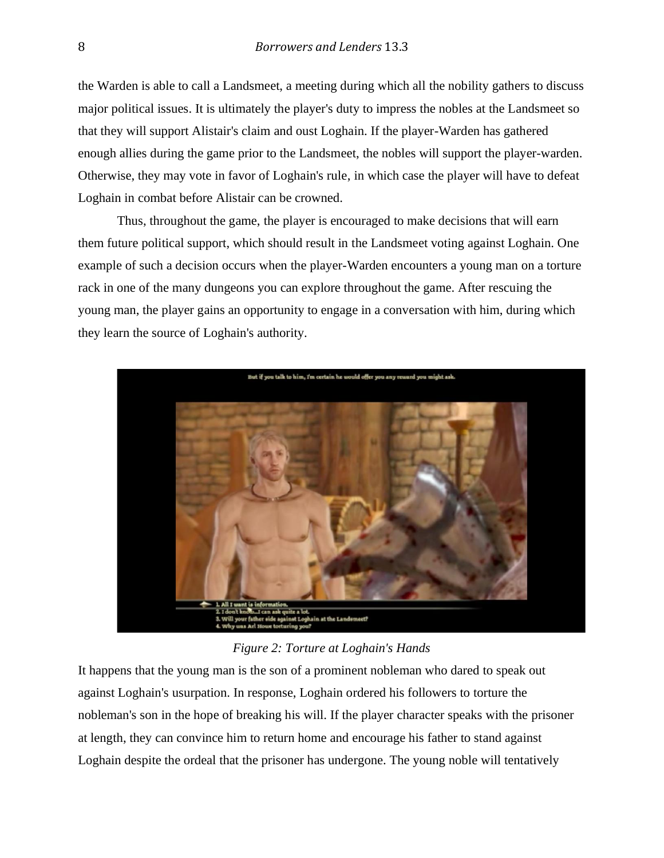the Warden is able to call a Landsmeet, a meeting during which all the nobility gathers to discuss major political issues. It is ultimately the player's duty to impress the nobles at the Landsmeet so that they will support Alistair's claim and oust Loghain. If the player-Warden has gathered enough allies during the game prior to the Landsmeet, the nobles will support the player-warden. Otherwise, they may vote in favor of Loghain's rule, in which case the player will have to defeat Loghain in combat before Alistair can be crowned.

Thus, throughout the game, the player is encouraged to make decisions that will earn them future political support, which should result in the Landsmeet voting against Loghain. One example of such a decision occurs when the player-Warden encounters a young man on a torture rack in one of the many dungeons you can explore throughout the game. After rescuing the young man, the player gains an opportunity to engage in a conversation with him, during which they learn the source of Loghain's authority.



*Figure 2: Torture at Loghain's Hands*

It happens that the young man is the son of a prominent nobleman who dared to speak out against Loghain's usurpation. In response, Loghain ordered his followers to torture the nobleman's son in the hope of breaking his will. If the player character speaks with the prisoner at length, they can convince him to return home and encourage his father to stand against Loghain despite the ordeal that the prisoner has undergone. The young noble will tentatively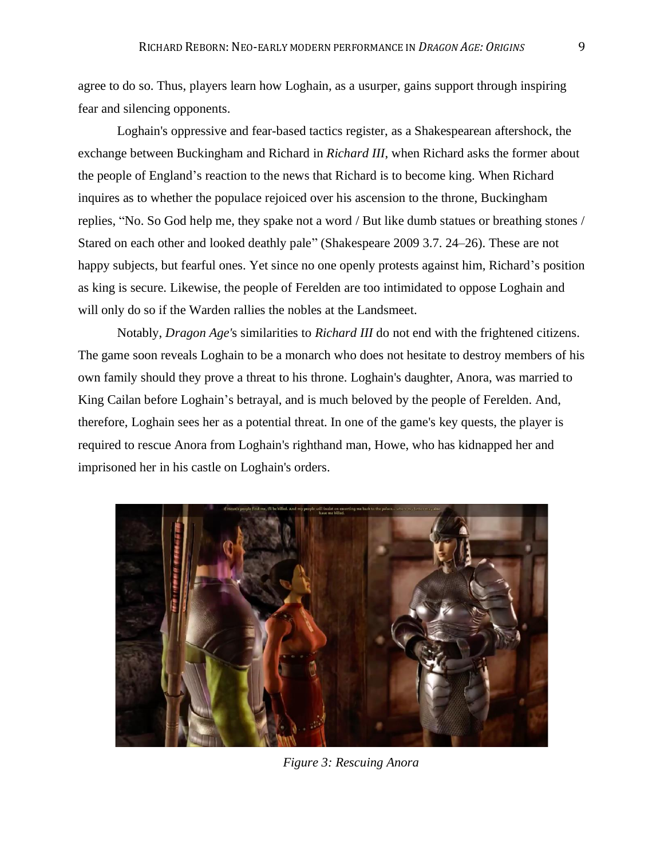agree to do so. Thus, players learn how Loghain, as a usurper, gains support through inspiring fear and silencing opponents.

Loghain's oppressive and fear-based tactics register, as a Shakespearean aftershock, the exchange between Buckingham and Richard in *Richard III*, when Richard asks the former about the people of England's reaction to the news that Richard is to become king. When Richard inquires as to whether the populace rejoiced over his ascension to the throne, Buckingham replies, "No. So God help me, they spake not a word / But like dumb statues or breathing stones / Stared on each other and looked deathly pale" (Shakespeare 2009 3.7. 24–26). These are not happy subjects, but fearful ones. Yet since no one openly protests against him, Richard's position as king is secure. Likewise, the people of Ferelden are too intimidated to oppose Loghain and will only do so if the Warden rallies the nobles at the Landsmeet.

Notably, *Dragon Age'*s similarities to *Richard III* do not end with the frightened citizens. The game soon reveals Loghain to be a monarch who does not hesitate to destroy members of his own family should they prove a threat to his throne. Loghain's daughter, Anora, was married to King Cailan before Loghain's betrayal, and is much beloved by the people of Ferelden. And, therefore, Loghain sees her as a potential threat. In one of the game's key quests, the player is required to rescue Anora from Loghain's righthand man, Howe, who has kidnapped her and imprisoned her in his castle on Loghain's orders.



*Figure 3: Rescuing Anora*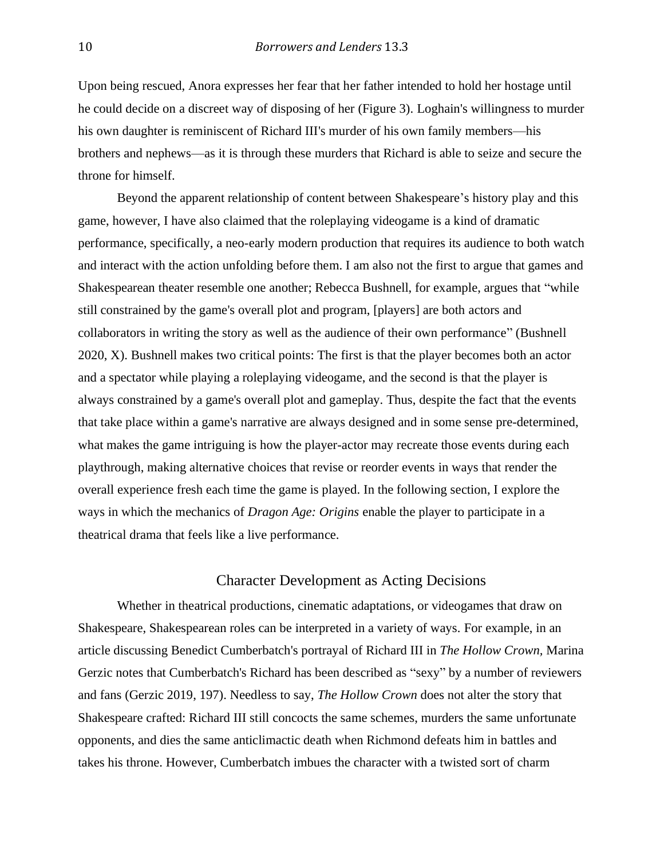Upon being rescued, Anora expresses her fear that her father intended to hold her hostage until he could decide on a discreet way of disposing of her (Figure 3). Loghain's willingness to murder his own daughter is reminiscent of Richard III's murder of his own family members—his brothers and nephews—as it is through these murders that Richard is able to seize and secure the throne for himself.

Beyond the apparent relationship of content between Shakespeare's history play and this game, however, I have also claimed that the roleplaying videogame is a kind of dramatic performance, specifically, a neo-early modern production that requires its audience to both watch and interact with the action unfolding before them. I am also not the first to argue that games and Shakespearean theater resemble one another; Rebecca Bushnell, for example, argues that "while still constrained by the game's overall plot and program, [players] are both actors and collaborators in writing the story as well as the audience of their own performance" (Bushnell 2020, X). Bushnell makes two critical points: The first is that the player becomes both an actor and a spectator while playing a roleplaying videogame, and the second is that the player is always constrained by a game's overall plot and gameplay. Thus, despite the fact that the events that take place within a game's narrative are always designed and in some sense pre-determined, what makes the game intriguing is how the player-actor may recreate those events during each playthrough, making alternative choices that revise or reorder events in ways that render the overall experience fresh each time the game is played. In the following section, I explore the ways in which the mechanics of *Dragon Age: Origins* enable the player to participate in a theatrical drama that feels like a live performance.

# Character Development as Acting Decisions

Whether in theatrical productions, cinematic adaptations, or videogames that draw on Shakespeare, Shakespearean roles can be interpreted in a variety of ways. For example, in an article discussing Benedict Cumberbatch's portrayal of Richard III in *The Hollow Crown,* Marina Gerzic notes that Cumberbatch's Richard has been described as "sexy" by a number of reviewers and fans (Gerzic 2019, 197). Needless to say, *The Hollow Crown* does not alter the story that Shakespeare crafted: Richard III still concocts the same schemes, murders the same unfortunate opponents, and dies the same anticlimactic death when Richmond defeats him in battles and takes his throne. However, Cumberbatch imbues the character with a twisted sort of charm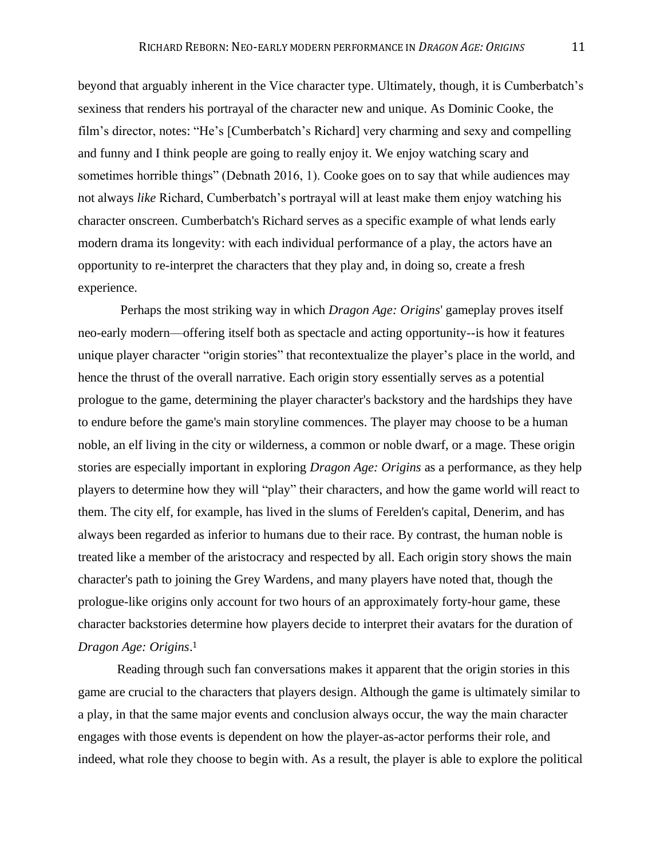beyond that arguably inherent in the Vice character type. Ultimately, though, it is Cumberbatch's sexiness that renders his portrayal of the character new and unique. As Dominic Cooke, the film's director, notes: "He's [Cumberbatch's Richard] very charming and sexy and compelling and funny and I think people are going to really enjoy it. We enjoy watching scary and sometimes horrible things" (Debnath 2016, 1). Cooke goes on to say that while audiences may not always *like* Richard, Cumberbatch's portrayal will at least make them enjoy watching his character onscreen. Cumberbatch's Richard serves as a specific example of what lends early modern drama its longevity: with each individual performance of a play, the actors have an opportunity to re-interpret the characters that they play and, in doing so, create a fresh experience.

Perhaps the most striking way in which *Dragon Age: Origins*' gameplay proves itself neo-early modern—offering itself both as spectacle and acting opportunity--is how it features unique player character "origin stories" that recontextualize the player's place in the world, and hence the thrust of the overall narrative. Each origin story essentially serves as a potential prologue to the game, determining the player character's backstory and the hardships they have to endure before the game's main storyline commences. The player may choose to be a human noble, an elf living in the city or wilderness, a common or noble dwarf, or a mage. These origin stories are especially important in exploring *Dragon Age: Origins* as a performance, as they help players to determine how they will "play" their characters, and how the game world will react to them. The city elf, for example, has lived in the slums of Ferelden's capital, Denerim, and has always been regarded as inferior to humans due to their race. By contrast, the human noble is treated like a member of the aristocracy and respected by all. Each origin story shows the main character's path to joining the Grey Wardens, and many players have noted that, though the prologue-like origins only account for two hours of an approximately forty-hour game, these character backstories determine how players decide to interpret their avatars for the duration of *Dragon Age: Origins*. 1

Reading through such fan conversations makes it apparent that the origin stories in this game are crucial to the characters that players design. Although the game is ultimately similar to a play, in that the same major events and conclusion always occur, the way the main character engages with those events is dependent on how the player-as-actor performs their role, and indeed, what role they choose to begin with. As a result, the player is able to explore the political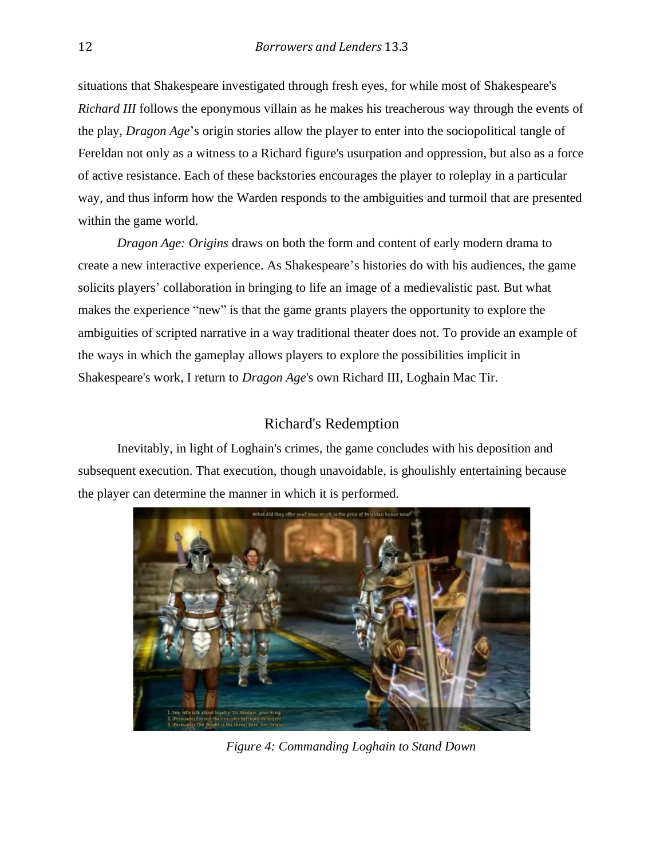situations that Shakespeare investigated through fresh eyes, for while most of Shakespeare's *Richard III* follows the eponymous villain as he makes his treacherous way through the events of the play, *Dragon Age*'s origin stories allow the player to enter into the sociopolitical tangle of Fereldan not only as a witness to a Richard figure's usurpation and oppression, but also as a force of active resistance. Each of these backstories encourages the player to roleplay in a particular way, and thus inform how the Warden responds to the ambiguities and turmoil that are presented within the game world.

*Dragon Age: Origins* draws on both the form and content of early modern drama to create a new interactive experience. As Shakespeare's histories do with his audiences, the game solicits players' collaboration in bringing to life an image of a medievalistic past. But what makes the experience "new" is that the game grants players the opportunity to explore the ambiguities of scripted narrative in a way traditional theater does not. To provide an example of the ways in which the gameplay allows players to explore the possibilities implicit in Shakespeare's work, I return to *Dragon Age*'s own Richard III, Loghain Mac Tir.

# Richard's Redemption

Inevitably, in light of Loghain's crimes, the game concludes with his deposition and subsequent execution. That execution, though unavoidable, is ghoulishly entertaining because the player can determine the manner in which it is performed.



*Figure 4: Commanding Loghain to Stand Down*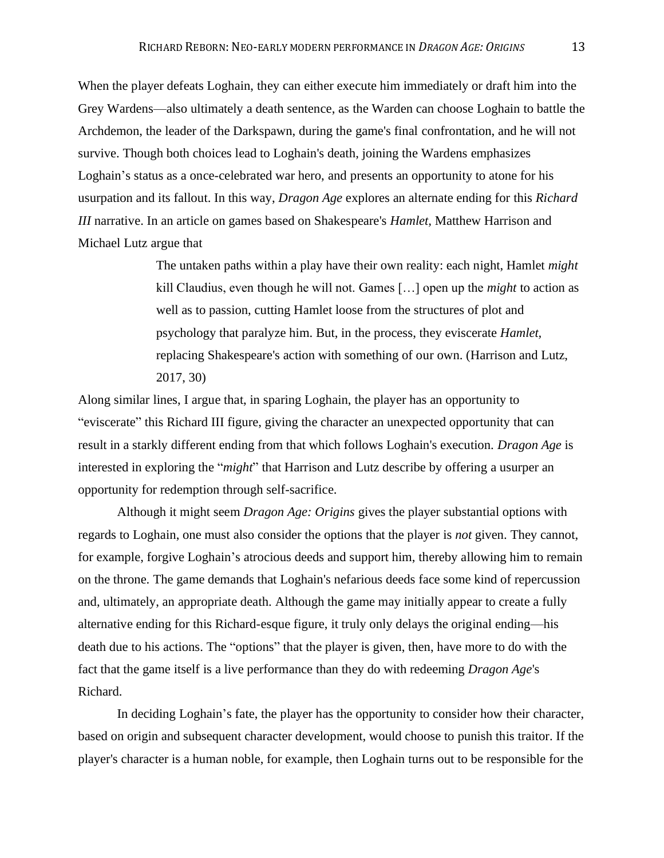When the player defeats Loghain, they can either execute him immediately or draft him into the Grey Wardens—also ultimately a death sentence, as the Warden can choose Loghain to battle the Archdemon, the leader of the Darkspawn, during the game's final confrontation, and he will not survive. Though both choices lead to Loghain's death, joining the Wardens emphasizes Loghain's status as a once-celebrated war hero, and presents an opportunity to atone for his usurpation and its fallout. In this way, *Dragon Age* explores an alternate ending for this *Richard III* narrative. In an article on games based on Shakespeare's *Hamlet,* Matthew Harrison and Michael Lutz argue that

> The untaken paths within a play have their own reality: each night, Hamlet *might*  kill Claudius, even though he will not. Games […] open up the *might* to action as well as to passion, cutting Hamlet loose from the structures of plot and psychology that paralyze him. But, in the process, they eviscerate *Hamlet,*  replacing Shakespeare's action with something of our own. (Harrison and Lutz, 2017, 30)

Along similar lines, I argue that, in sparing Loghain, the player has an opportunity to "eviscerate" this Richard III figure, giving the character an unexpected opportunity that can result in a starkly different ending from that which follows Loghain's execution. *Dragon Age* is interested in exploring the "*might*" that Harrison and Lutz describe by offering a usurper an opportunity for redemption through self-sacrifice.

Although it might seem *Dragon Age: Origins* gives the player substantial options with regards to Loghain, one must also consider the options that the player is *not* given. They cannot, for example, forgive Loghain's atrocious deeds and support him, thereby allowing him to remain on the throne. The game demands that Loghain's nefarious deeds face some kind of repercussion and, ultimately, an appropriate death. Although the game may initially appear to create a fully alternative ending for this Richard-esque figure, it truly only delays the original ending—his death due to his actions. The "options" that the player is given, then, have more to do with the fact that the game itself is a live performance than they do with redeeming *Dragon Age*'s Richard.

In deciding Loghain's fate, the player has the opportunity to consider how their character, based on origin and subsequent character development, would choose to punish this traitor. If the player's character is a human noble, for example, then Loghain turns out to be responsible for the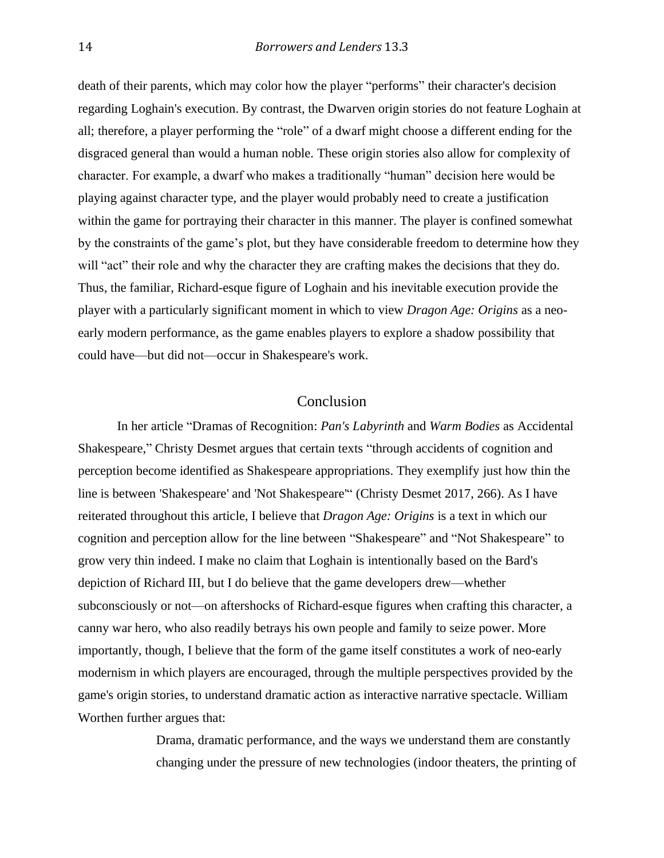death of their parents, which may color how the player "performs" their character's decision regarding Loghain's execution. By contrast, the Dwarven origin stories do not feature Loghain at all; therefore, a player performing the "role" of a dwarf might choose a different ending for the disgraced general than would a human noble. These origin stories also allow for complexity of character. For example, a dwarf who makes a traditionally "human" decision here would be playing against character type, and the player would probably need to create a justification within the game for portraying their character in this manner. The player is confined somewhat by the constraints of the game's plot, but they have considerable freedom to determine how they will "act" their role and why the character they are crafting makes the decisions that they do. Thus, the familiar, Richard-esque figure of Loghain and his inevitable execution provide the player with a particularly significant moment in which to view *Dragon Age: Origins* as a neoearly modern performance, as the game enables players to explore a shadow possibility that could have—but did not—occur in Shakespeare's work.

## Conclusion

In her article "Dramas of Recognition: *Pan's Labyrinth* and *Warm Bodies* as Accidental Shakespeare," Christy Desmet argues that certain texts "through accidents of cognition and perception become identified as Shakespeare appropriations. They exemplify just how thin the line is between 'Shakespeare' and 'Not Shakespeare'" (Christy Desmet 2017, 266). As I have reiterated throughout this article, I believe that *Dragon Age: Origins* is a text in which our cognition and perception allow for the line between "Shakespeare" and "Not Shakespeare" to grow very thin indeed. I make no claim that Loghain is intentionally based on the Bard's depiction of Richard III, but I do believe that the game developers drew—whether subconsciously or not—on aftershocks of Richard-esque figures when crafting this character, a canny war hero, who also readily betrays his own people and family to seize power. More importantly, though, I believe that the form of the game itself constitutes a work of neo-early modernism in which players are encouraged, through the multiple perspectives provided by the game's origin stories, to understand dramatic action as interactive narrative spectacle. William Worthen further argues that:

> Drama, dramatic performance, and the ways we understand them are constantly changing under the pressure of new technologies (indoor theaters, the printing of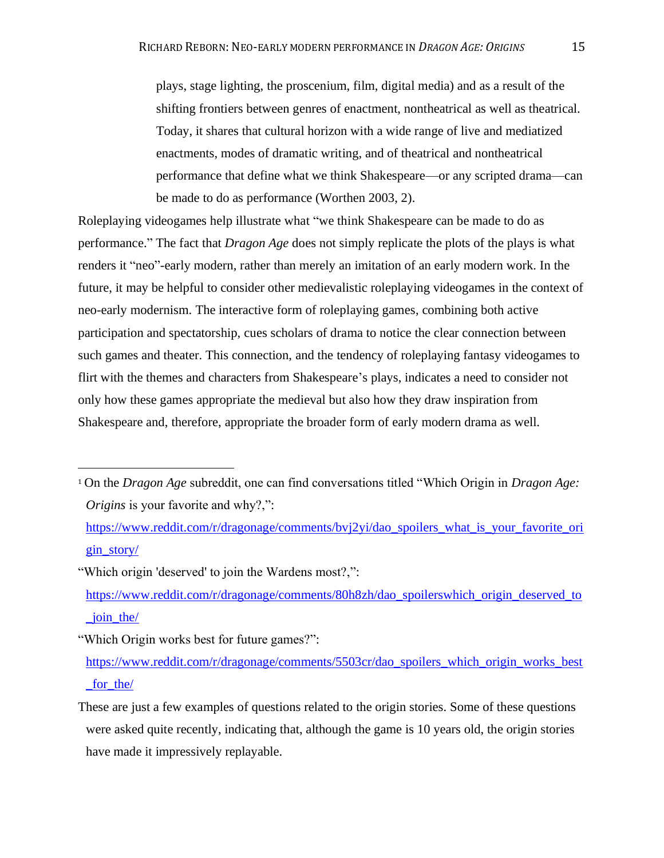plays, stage lighting, the proscenium, film, digital media) and as a result of the shifting frontiers between genres of enactment, nontheatrical as well as theatrical. Today, it shares that cultural horizon with a wide range of live and mediatized enactments, modes of dramatic writing, and of theatrical and nontheatrical performance that define what we think Shakespeare—or any scripted drama—can be made to do as performance (Worthen 2003, 2).

Roleplaying videogames help illustrate what "we think Shakespeare can be made to do as performance." The fact that *Dragon Age* does not simply replicate the plots of the plays is what renders it "neo"-early modern, rather than merely an imitation of an early modern work. In the future, it may be helpful to consider other medievalistic roleplaying videogames in the context of neo-early modernism. The interactive form of roleplaying games, combining both active participation and spectatorship, cues scholars of drama to notice the clear connection between such games and theater. This connection, and the tendency of roleplaying fantasy videogames to flirt with the themes and characters from Shakespeare's plays, indicates a need to consider not only how these games appropriate the medieval but also how they draw inspiration from Shakespeare and, therefore, appropriate the broader form of early modern drama as well.

[https://www.reddit.com/r/dragonage/comments/bvj2yi/dao\\_spoilers\\_what\\_is\\_your\\_favorite\\_ori](https://www.reddit.com/r/dragonage/comments/bvj2yi/dao_spoilers_what_is_your_favorite_origin_story/) [gin\\_story/](https://www.reddit.com/r/dragonage/comments/bvj2yi/dao_spoilers_what_is_your_favorite_origin_story/)

"Which origin 'deserved' to join the Wardens most?,":

[https://www.reddit.com/r/dragonage/comments/80h8zh/dao\\_spoilerswhich\\_origin\\_deserved\\_to](https://www.reddit.com/r/dragonage/comments/80h8zh/dao_spoilerswhich_origin_deserved_to_join_the/) [\\_join\\_the/](https://www.reddit.com/r/dragonage/comments/80h8zh/dao_spoilerswhich_origin_deserved_to_join_the/)

"Which Origin works best for future games?":

[https://www.reddit.com/r/dragonage/comments/5503cr/dao\\_spoilers\\_which\\_origin\\_works\\_best](https://www.reddit.com/r/dragonage/comments/5503cr/dao_spoilers_which_origin_works_best_for_the/) [\\_for\\_the/](https://www.reddit.com/r/dragonage/comments/5503cr/dao_spoilers_which_origin_works_best_for_the/)

<sup>1</sup> On the *Dragon Age* subreddit, one can find conversations titled "Which Origin in *Dragon Age: Origins* is your favorite and why?,":

These are just a few examples of questions related to the origin stories. Some of these questions were asked quite recently, indicating that, although the game is 10 years old, the origin stories have made it impressively replayable.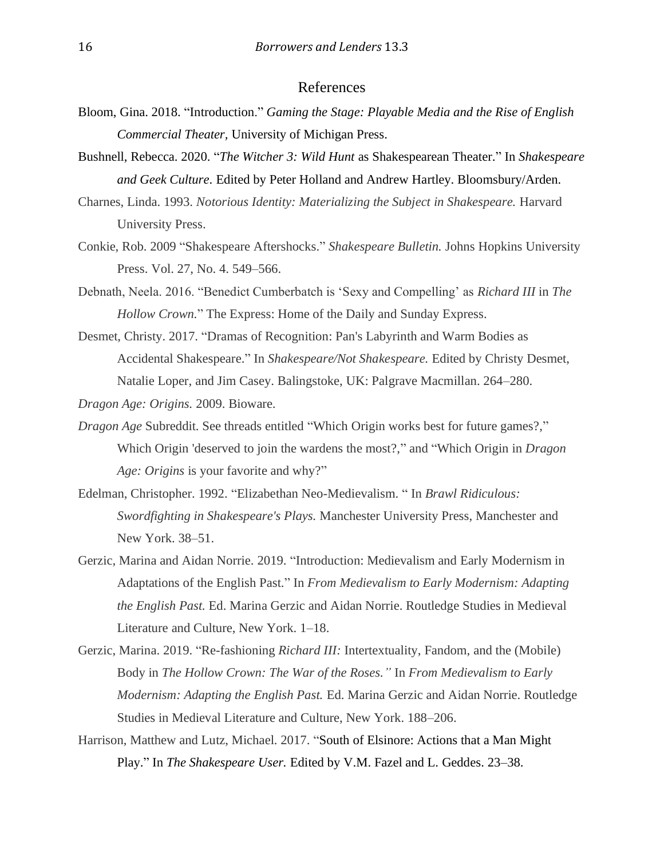#### References

- Bloom, Gina. 2018. "Introduction." *Gaming the Stage: Playable Media and the Rise of English Commercial Theater,* University of Michigan Press.
- Bushnell, Rebecca. 2020. "*The Witcher 3: Wild Hunt* as Shakespearean Theater." In *Shakespeare and Geek Culture*. Edited by Peter Holland and Andrew Hartley. Bloomsbury/Arden.
- Charnes, Linda. 1993. *Notorious Identity: Materializing the Subject in Shakespeare.* Harvard University Press.
- Conkie, Rob. 2009 "Shakespeare Aftershocks." *Shakespeare Bulletin.* Johns Hopkins University Press. Vol. 27, No. 4. 549–566.
- Debnath, Neela. 2016. "Benedict Cumberbatch is 'Sexy and Compelling' as *Richard III* in *The Hollow Crown.*" The Express: Home of the Daily and Sunday Express.
- Desmet, Christy. 2017. "Dramas of Recognition: Pan's Labyrinth and Warm Bodies as Accidental Shakespeare." In *Shakespeare/Not Shakespeare.* Edited by Christy Desmet, Natalie Loper, and Jim Casey. Balingstoke, UK: Palgrave Macmillan. 264–280.
- *Dragon Age: Origins.* 2009. Bioware.
- *Dragon Age* Subreddit. See threads entitled "Which Origin works best for future games?," Which Origin 'deserved to join the wardens the most?," and "Which Origin in *Dragon Age: Origins* is your favorite and why?"
- Edelman, Christopher. 1992. "Elizabethan Neo-Medievalism. " In *Brawl Ridiculous: Swordfighting in Shakespeare's Plays.* Manchester University Press, Manchester and New York. 38–51.
- Gerzic, Marina and Aidan Norrie. 2019. "Introduction: Medievalism and Early Modernism in Adaptations of the English Past." In *From Medievalism to Early Modernism: Adapting the English Past.* Ed. Marina Gerzic and Aidan Norrie. Routledge Studies in Medieval Literature and Culture, New York. 1–18.
- Gerzic, Marina. 2019. "Re-fashioning *Richard III:* Intertextuality, Fandom, and the (Mobile) Body in *The Hollow Crown: The War of the Roses."* In *From Medievalism to Early Modernism: Adapting the English Past.* Ed. Marina Gerzic and Aidan Norrie. Routledge Studies in Medieval Literature and Culture, New York. 188–206.
- Harrison, Matthew and Lutz, Michael. 2017. "South of Elsinore: Actions that a Man Might Play." In *The Shakespeare User.* Edited by V.M. Fazel and L. Geddes. 23–38.